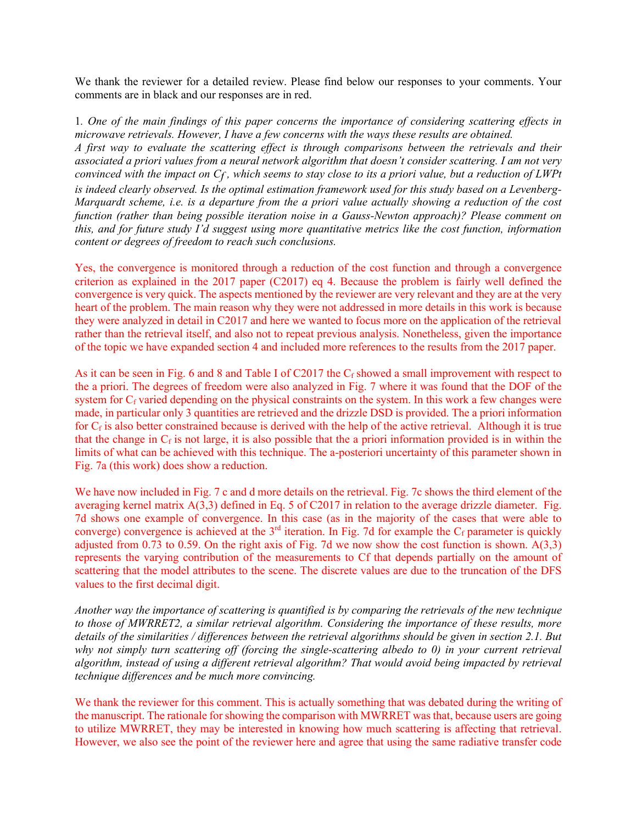We thank the reviewer for a detailed review. Please find below our responses to your comments. Your comments are in black and our responses are in red.

1*. One of the main findings of this paper concerns the importance of considering scattering effects in microwave retrievals. However, I have a few concerns with the ways these results are obtained. A first way to evaluate the scattering effect is through comparisons between the retrievals and their associated a priori values from a neural network algorithm that doesn't consider scattering. I am not very convinced with the impact on Cf , which seems to stay close to its a priori value, but a reduction of LWPt is indeed clearly observed. Is the optimal estimation framework used for this study based on a Levenberg-Marquardt scheme, i.e. is a departure from the a priori value actually showing a reduction of the cost function (rather than being possible iteration noise in a Gauss-Newton approach)? Please comment on this, and for future study I'd suggest using more quantitative metrics like the cost function, information content or degrees of freedom to reach such conclusions.* 

Yes, the convergence is monitored through a reduction of the cost function and through a convergence criterion as explained in the 2017 paper (C2017) eq 4. Because the problem is fairly well defined the convergence is very quick. The aspects mentioned by the reviewer are very relevant and they are at the very heart of the problem. The main reason why they were not addressed in more details in this work is because they were analyzed in detail in C2017 and here we wanted to focus more on the application of the retrieval rather than the retrieval itself, and also not to repeat previous analysis. Nonetheless, given the importance of the topic we have expanded section 4 and included more references to the results from the 2017 paper.

As it can be seen in Fig. 6 and 8 and Table I of C2017 the  $C_f$  showed a small improvement with respect to the a priori. The degrees of freedom were also analyzed in Fig. 7 where it was found that the DOF of the system for  $C_f$  varied depending on the physical constraints on the system. In this work a few changes were made, in particular only 3 quantities are retrieved and the drizzle DSD is provided. The a priori information for  $C_f$  is also better constrained because is derived with the help of the active retrieval. Although it is true that the change in  $C_f$  is not large, it is also possible that the a priori information provided is in within the limits of what can be achieved with this technique. The a-posteriori uncertainty of this parameter shown in Fig. 7a (this work) does show a reduction.

We have now included in Fig. 7 c and d more details on the retrieval. Fig. 7c shows the third element of the averaging kernel matrix A(3,3) defined in Eq. 5 of C2017 in relation to the average drizzle diameter. Fig. 7d shows one example of convergence. In this case (as in the majority of the cases that were able to converge) convergence is achieved at the  $3<sup>rd</sup>$  iteration. In Fig. 7d for example the  $C_f$  parameter is quickly adjusted from 0.73 to 0.59. On the right axis of Fig. 7d we now show the cost function is shown.  $A(3,3)$ represents the varying contribution of the measurements to Cf that depends partially on the amount of scattering that the model attributes to the scene. The discrete values are due to the truncation of the DFS values to the first decimal digit.

*Another way the importance of scattering is quantified is by comparing the retrievals of the new technique to those of MWRRET2, a similar retrieval algorithm. Considering the importance of these results, more details of the similarities / differences between the retrieval algorithms should be given in section 2.1. But why not simply turn scattering off (forcing the single-scattering albedo to 0) in your current retrieval algorithm, instead of using a different retrieval algorithm? That would avoid being impacted by retrieval technique differences and be much more convincing.* 

We thank the reviewer for this comment. This is actually something that was debated during the writing of the manuscript. The rationale for showing the comparison with MWRRET was that, because users are going to utilize MWRRET, they may be interested in knowing how much scattering is affecting that retrieval. However, we also see the point of the reviewer here and agree that using the same radiative transfer code